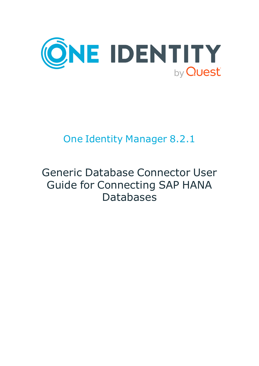

# One Identity Manager 8.2.1

# Generic Database Connector User Guide for Connecting SAP HANA Databases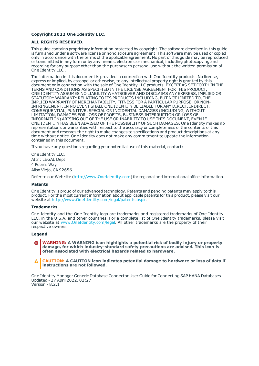#### **Copyright 2022 One Identity LLC.**

#### **ALL RIGHTS RESERVED.**

This guide contains proprietary information protected by copyright. The software described in this guide is furnished under a software license or nondisclosure agreement. This software may be used or copied only in accordance with the terms of the applicable agreement. No part of this guide may be reproduced or transmitted in any form or by any means, electronic or mechanical, including photocopying and recording for any purpose other than the purchaser's personal use without the written permission of One Identity LLC .

The information in this document is provided in connection with One Identity products. No license, express or implied, by estoppel or otherwise, to any intellectual property right is granted by this document or in connection with the sale of One Identity LLC products. EXCEPT AS SET FORTH IN THE TERMS AND CONDITIONS AS SPECIFIED IN THE LICENSE AGREEMENT FOR THIS PRODUCT, ONE IDENTITY ASSUMES NO LIABILITY WHATSOEVER AND DISCLAIMS ANY EXPRESS, IMPLIED OR STATUTORY WARRANTY RELATING TO ITS PRODUCTS INCLUDING, BUT NOT LIMITED TO, THE IMPLIED WARRANTY OF MERCHANTABILITY, FITNESS FOR A PARTICULAR PURPOSE, OR NON-INFRINGEMENT. IN NO EVENT SHALL ONE IDENTITY BE LIABLE FOR ANY DIRECT, INDIRECT, CONSEQUENTIAL, PUNITIVE, SPECIAL OR INCIDENTAL DAMAGES (INCLUDING, WITHOUT LIMITATION, DAMAGES FOR LOSS OF PROFITS, BUSINESS INTERRUPTION OR LOSS OF INFORMATION) ARISING OUT OF THE USE OR INABILITY TO USE THIS DOCUMENT, EVEN IF ONE IDENTITY HAS BEEN ADVISED OF THE POSSIBILITY OF SUCH DAMAGES. One Identity makes no representations or warranties with respect to the accuracy or completeness of the contents of this document and reserves the right to make changes to specifications and product descriptions at any time without notice. One Identity does not make any commitment to update the information contained in this document.

If you have any questions regarding your potential use of this material, contact:

One Identity LLC. Attn: LEGAL Dept 4 Polaris Way Aliso Viejo, CA 92656

Refer to our Web site ([http://www.OneIdentity.com](http://www.oneidentity.com/)) for regional and international office information.

#### **Patents**

One Identity is proud of our advanced technology. Patents and pending patents may apply to this product. For the most current information about applicable patents for this product, please visit our website at [http://www.OneIdentity.com/legal/patents.aspx](http://www.oneidentity.com/legal/patents.aspx).

#### **Trademarks**

One Identity and the One Identity logo are trademarks and registered trademarks of One Identity LLC. in the U.S.A. and other countries. For a complete list of One Identity trademarks, please visit our website at [www.OneIdentity.com/legal](http://www.oneidentity.com/legal). All other trademarks are the property of their respective owners.

#### **Legend**

- **WARNING: A WARNING icon highlights a potential risk of bodily injury or property damage, for which industry-standard safety precautions are advised. This icon is often associated with electrical hazards related to hardware.**
- **CAUTION: A CAUTION icon indicates potential damage to hardware or loss of data if** A **instructions are not followed.**

One Identity Manager Generic Database Connector User Guide for Connecting SAP HANA Databases Updated - 27 April 2022, 02:27 Version - 8.2.1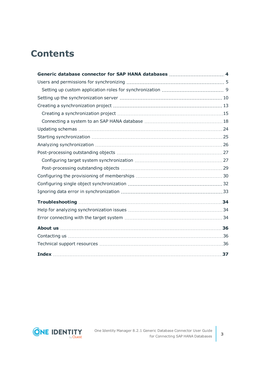## **Contents**

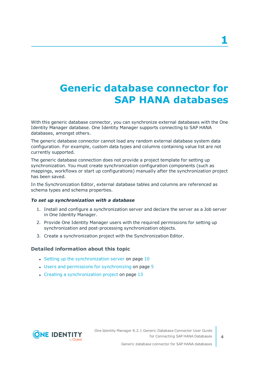# <span id="page-3-0"></span>**Generic database connector for SAP HANA databases**

With this generic database connector, you can synchronize external databases with the One Identity Manager database. One Identity Manager supports connecting to SAP HANA databases, amongst others.

The generic database connector cannot load any random external database system data configuration. For example, custom data types and columns containing value list are not currently supported.

The generic database connection does not provide a project template for setting up synchronization. You must create synchronization configuration components (such as mappings, workflows or start up configurations) manually after the synchronization project has been saved.

In the Synchronization Editor, external database tables and columns are referenced as schema types and schema properties.

#### *To set up synchronization with a database*

- 1. Install and configure a synchronization server and declare the server as a Job server in One Identity Manager.
- 2. Provide One Identity Manager users with the required permissions for setting up synchronization and post-processing synchronization objects.
- 3. Create a synchronization project with the Synchronization Editor.

#### **Detailed information about this topic**

- Setting up the [synchronization](#page-9-0) server on page 10
- $\cdot$  Users and permissions for [synchronizing](#page-4-0) on page  $5$
- $\cdot$  Creating a [synchronization](#page-12-0) project on page 13

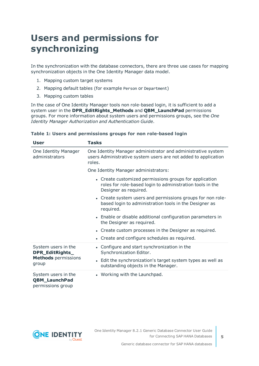## <span id="page-4-0"></span>**Users and permissions for synchronizing**

In the synchronization with the database connectors, there are three use cases for mapping synchronization objects in the One Identity Manager data model.

- 1. Mapping custom target systems
- 2. Mapping default tables (for example Person or Department)
- 3. Mapping custom tables

In the case of One Identity Manager tools non role-based login, it is sufficient to add a system user in the **DPR\_EditRights\_Methods** and **QBM\_LaunchPad** permissions groups. For more information about system users and permissions groups, see the *One Identity Manager Authorization and Authentication Guide*.

| User                                                             | Tasks                                                                                                                                        |  |  |
|------------------------------------------------------------------|----------------------------------------------------------------------------------------------------------------------------------------------|--|--|
| One Identity Manager<br>administrators                           | One Identity Manager administrator and administrative system<br>users Administrative system users are not added to application<br>roles.     |  |  |
|                                                                  | One Identity Manager administrators:                                                                                                         |  |  |
|                                                                  | • Create customized permissions groups for application<br>roles for role-based login to administration tools in the<br>Designer as required. |  |  |
|                                                                  | • Create system users and permissions groups for non role-<br>based login to administration tools in the Designer as<br>required.            |  |  |
|                                                                  | • Enable or disable additional configuration parameters in<br>the Designer as required.                                                      |  |  |
|                                                                  | • Create custom processes in the Designer as required.                                                                                       |  |  |
|                                                                  | • Create and configure schedules as required.                                                                                                |  |  |
| System users in the<br>DPR_EditRights_                           | • Configure and start synchronization in the<br>Synchronization Editor.                                                                      |  |  |
| <b>Methods</b> permissions<br>group                              | • Edit the synchronization's target system types as well as<br>outstanding objects in the Manager.                                           |  |  |
| System users in the<br><b>QBM_LaunchPad</b><br>permissions group | • Working with the Launchpad.                                                                                                                |  |  |

#### **Table 1: Users and permissions groups for non role-based login**

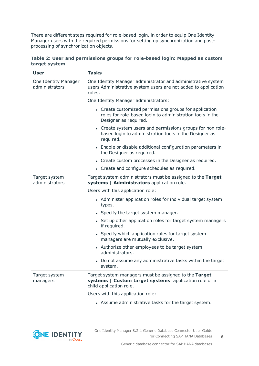There are different steps required for role-based login, in order to equip One Identity Manager users with the required permissions for setting up synchronization and postprocessing of synchronization objects.

|               | Table 2: User and permissions groups for role-based login: Mapped as custom |  |  |  |
|---------------|-----------------------------------------------------------------------------|--|--|--|
| target system |                                                                             |  |  |  |

| <b>User</b>                            | <b>Tasks</b>                                                                                                                                 |  |  |  |
|----------------------------------------|----------------------------------------------------------------------------------------------------------------------------------------------|--|--|--|
| One Identity Manager<br>administrators | One Identity Manager administrator and administrative system<br>users Administrative system users are not added to application<br>roles.     |  |  |  |
|                                        | One Identity Manager administrators:                                                                                                         |  |  |  |
|                                        | • Create customized permissions groups for application<br>roles for role-based login to administration tools in the<br>Designer as required. |  |  |  |
|                                        | • Create system users and permissions groups for non role-<br>based login to administration tools in the Designer as<br>required.            |  |  |  |
|                                        | • Enable or disable additional configuration parameters in<br>the Designer as required.                                                      |  |  |  |
|                                        | • Create custom processes in the Designer as required.                                                                                       |  |  |  |
|                                        | • Create and configure schedules as required.                                                                                                |  |  |  |
| Target system<br>administrators        | Target system administrators must be assigned to the Target<br>systems   Administrators application role.                                    |  |  |  |
|                                        | Users with this application role:                                                                                                            |  |  |  |
|                                        | • Administer application roles for individual target system<br>types.                                                                        |  |  |  |
|                                        | • Specify the target system manager.                                                                                                         |  |  |  |
|                                        | • Set up other application roles for target system managers<br>if required.                                                                  |  |  |  |
|                                        | • Specify which application roles for target system<br>managers are mutually exclusive.                                                      |  |  |  |
|                                        | • Authorize other employees to be target system<br>administrators.                                                                           |  |  |  |
|                                        | • Do not assume any administrative tasks within the target<br>system.                                                                        |  |  |  |
| Target system<br>managers              | Target system managers must be assigned to the Target<br>systems   Custom target systems application role or a<br>child application role.    |  |  |  |
|                                        | Users with this application role:                                                                                                            |  |  |  |
|                                        | • Assume administrative tasks for the target system.                                                                                         |  |  |  |

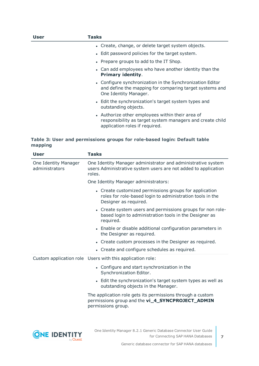| User | Tasks                                                                                                                                           |
|------|-------------------------------------------------------------------------------------------------------------------------------------------------|
|      | • Create, change, or delete target system objects.                                                                                              |
|      | • Edit password policies for the target system.                                                                                                 |
|      | • Prepare groups to add to the IT Shop.                                                                                                         |
|      | • Can add employees who have another identity than the<br><b>Primary identity.</b>                                                              |
|      | • Configure synchronization in the Synchronization Editor<br>and define the mapping for comparing target systems and<br>One Identity Manager.   |
|      | • Edit the synchronization's target system types and<br>outstanding objects.                                                                    |
|      | • Authorize other employees within their area of<br>responsibility as target system managers and create child<br>application roles if required. |

#### **Table 3: User and permissions groups for role-based login: Default table mapping**

| <b>User</b>                            | <b>Tasks</b>                                                                                                                                 |  |  |
|----------------------------------------|----------------------------------------------------------------------------------------------------------------------------------------------|--|--|
| One Identity Manager<br>administrators | One Identity Manager administrator and administrative system<br>users Administrative system users are not added to application<br>roles.     |  |  |
|                                        | One Identity Manager administrators:                                                                                                         |  |  |
|                                        | • Create customized permissions groups for application<br>roles for role-based login to administration tools in the<br>Designer as required. |  |  |
|                                        | • Create system users and permissions groups for non role-<br>based login to administration tools in the Designer as<br>required.            |  |  |
|                                        | • Enable or disable additional configuration parameters in<br>the Designer as required.                                                      |  |  |
|                                        | • Create custom processes in the Designer as required.                                                                                       |  |  |
|                                        | • Create and configure schedules as required.                                                                                                |  |  |
|                                        | Custom application role Users with this application role:                                                                                    |  |  |
|                                        | • Configure and start synchronization in the<br>Synchronization Editor.                                                                      |  |  |
|                                        | • Edit the synchronization's target system types as well as<br>outstanding objects in the Manager.                                           |  |  |
|                                        | The application role gets its permissions through a custom<br>permissions group and the vi_4_SYNCPROJECT_ADMIN<br>permissions group.         |  |  |
|                                        |                                                                                                                                              |  |  |
|                                        |                                                                                                                                              |  |  |

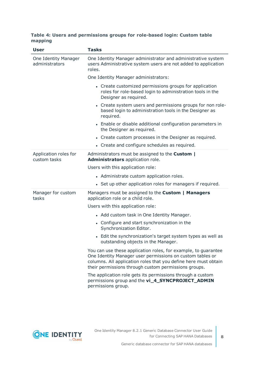#### **Table 4: Users and permissions groups for role-based login: Custom table mapping**

| <b>User</b>                            | <b>Tasks</b>                                                                                                                                                                                                                                           |  |  |  |
|----------------------------------------|--------------------------------------------------------------------------------------------------------------------------------------------------------------------------------------------------------------------------------------------------------|--|--|--|
| One Identity Manager<br>administrators | One Identity Manager administrator and administrative system<br>users Administrative system users are not added to application<br>roles.                                                                                                               |  |  |  |
|                                        | One Identity Manager administrators:                                                                                                                                                                                                                   |  |  |  |
|                                        | • Create customized permissions groups for application<br>roles for role-based login to administration tools in the<br>Designer as required.                                                                                                           |  |  |  |
|                                        | • Create system users and permissions groups for non role-<br>based login to administration tools in the Designer as<br>required.                                                                                                                      |  |  |  |
|                                        | • Enable or disable additional configuration parameters in<br>the Designer as required.                                                                                                                                                                |  |  |  |
|                                        | • Create custom processes in the Designer as required.                                                                                                                                                                                                 |  |  |  |
|                                        | • Create and configure schedules as required.                                                                                                                                                                                                          |  |  |  |
| Application roles for<br>custom tasks  | Administrators must be assigned to the Custom  <br>Administrators application role.                                                                                                                                                                    |  |  |  |
|                                        | Users with this application role:                                                                                                                                                                                                                      |  |  |  |
|                                        | • Administrate custom application roles.                                                                                                                                                                                                               |  |  |  |
|                                        | • Set up other application roles for managers if required.                                                                                                                                                                                             |  |  |  |
| Manager for custom<br>tasks            | Managers must be assigned to the Custom   Managers<br>application role or a child role.                                                                                                                                                                |  |  |  |
|                                        | Users with this application role:                                                                                                                                                                                                                      |  |  |  |
|                                        | • Add custom task in One Identity Manager.                                                                                                                                                                                                             |  |  |  |
|                                        | • Configure and start synchronization in the<br>Synchronization Editor.                                                                                                                                                                                |  |  |  |
|                                        | • Edit the synchronization's target system types as well as<br>outstanding objects in the Manager.                                                                                                                                                     |  |  |  |
|                                        | You can use these application roles, for example, to guarantee<br>One Identity Manager user permissions on custom tables or<br>columns. All application roles that you define here must obtain<br>their permissions through custom permissions groups. |  |  |  |
|                                        | The application role gets its permissions through a custom<br>permissions group and the vi_4_SYNCPROJECT_ADMIN<br>permissions group.                                                                                                                   |  |  |  |

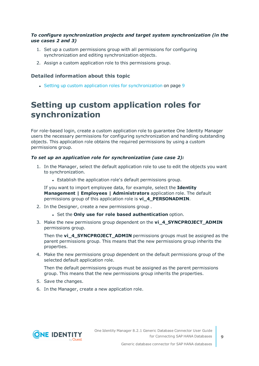#### *To configure synchronization projects and target system synchronization (in the use cases 2 and 3)*

- 1. Set up a custom permissions group with all permissions for configuring synchronization and editing synchronization objects.
- 2. Assign a custom application role to this permissions group.

#### **Detailed information about this topic**

• Setting up custom application roles for [synchronization](#page-8-0) on page 9

### <span id="page-8-0"></span>**Setting up custom application roles for synchronization**

For role-based login, create a custom application role to guarantee One Identity Manager users the necessary permissions for configuring synchronization and handling outstanding objects. This application role obtains the required permissions by using a custom permissions group.

#### *To set up an application role for synchronization (use case 2):*

- 1. In the Manager, select the default application role to use to edit the objects you want to synchronization.
	- Establish the application role's default permissions group.

If you want to import employee data, for example, select the **Identity Management | Employees | Administrators** application role. The default permissions group of this application role is **vi\_4\_PERSONADMIN**.

- 2. In the Designer, create a new permissions group .
	- <sup>l</sup> Set the **Only use for role based authentication** option.
- 3. Make the new permissions group dependent on the **vi\_4\_SYNCPROJECT\_ADMIN** permissions group.

Then the **vi\_4\_SYNCPROJECT\_ADMIN** permissions groups must be assigned as the parent permissions group. This means that the new permissions group inherits the properties.

4. Make the new permissions group dependent on the default permissions group of the selected default application role.

Then the default permissions groups must be assigned as the parent permissions group. This means that the new permissions group inherits the properties.

- 5. Save the changes.
- 6. In the Manager, create a new application role.

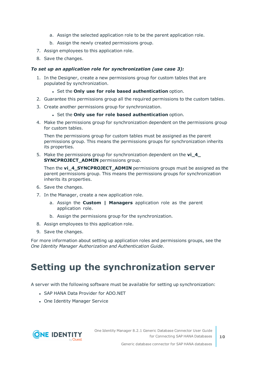- a. Assign the selected application role to be the parent application role.
- b. Assign the newly created permissions group.
- 7. Assign employees to this application role.
- 8. Save the changes.

#### *To set up an application role for synchronization (use case 3):*

- 1. In the Designer, create a new permissions group for custom tables that are populated by synchronization.
	- <sup>l</sup> Set the **Only use for role based authentication** option.
- 2. Guarantee this permissions group all the required permissions to the custom tables.
- 3. Create another permissions group for synchronization.
	- <sup>l</sup> Set the **Only use for role based authentication** option.
- 4. Make the permissions group for synchronization dependent on the permissions group for custom tables.

Then the permissions group for custom tables must be assigned as the parent permissions group. This means the permissions groups for synchronization inherits its properties.

5. Make the permissions group for synchronization dependent on the **vi\_4\_ SYNCPROJECT\_ADMIN** permissions group.

Then the **vi\_4\_SYNCPROJECT\_ADMIN** permissions groups must be assigned as the parent permissions group. This means the permissions groups for synchronization inherits its properties.

- 6. Save the changes.
- 7. In the Manager, create a new application role.
	- a. Assign the **Custom | Managers** application role as the parent application role.
	- b. Assign the permissions group for the synchronization.
- 8. Assign employees to this application role.
- 9. Save the changes.

For more information about setting up application roles and permissions groups, see the *One Identity Manager Authorization and Authentication Guide*.

## <span id="page-9-0"></span>**Setting up the synchronization server**

A server with the following software must be available for setting up synchronization:

- . SAP HANA Data Provider for ADO.NET
- One Identity Manager Service

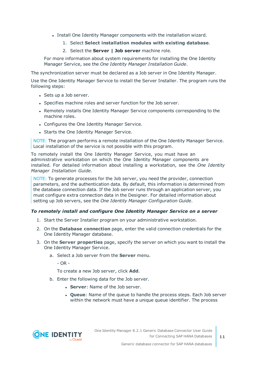- Install One Identity Manager components with the installation wizard.
	- 1. Select **Select installation modules with existing database**.
	- 2. Select the **Server | Job server** machine role.

For more information about system requirements for installing the One Identity Manager Service, see the *One Identity Manager Installation Guide*.

The synchronization server must be declared as a Job server in One Identity Manager.

Use the One Identity Manager Service to install the Server Installer. The program runs the following steps:

- Sets up a Job server.
- Specifies machine roles and server function for the Job server.
- Remotely installs One Identity Manager Service components corresponding to the machine roles.
- Configures the One Identity Manager Service.
- Starts the One Identity Manager Service.

NOTE: The program performs a remote installation of the One Identity Manager Service. Local installation of the service is not possible with this program.

To remotely install the One Identity Manager Service, you must have an administrative workstation on which the One Identity Manager components are installed. For detailed information about installing a workstation, see the *One Identity Manager Installation Guide*.

NOTE: To generate processes for the Job server, you need the provider, connection parameters, and the authentication data. By default, this information is determined from the database connection data. If the Job server runs through an application server, you must configure extra connection data in the Designer. For detailed information about setting up Job servers, see the *One Identity Manager Configuration Guide*.

#### *To remotely install and configure One Identity Manager Service on a server*

- 1. Start the Server Installer program on your administrative workstation.
- 2. On the **Database connection** page, enter the valid connection credentials for the One Identity Manager database.
- 3. On the **Server properties** page, specify the server on which you want to install the One Identity Manager Service.
	- a. Select a Job server from the **Server** menu.

- OR -

To create a new Job server, click **Add**.

- b. Enter the following data for the Job server.
	- **Server:** Name of the Job server.
	- <sup>l</sup> **Queue**: Name of the queue to handle the process steps. Each Job server within the network must have a unique queue identifier. The process

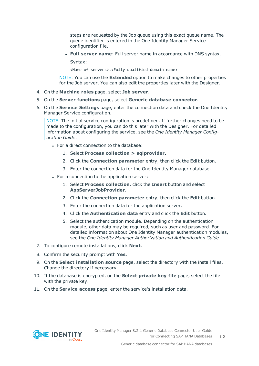steps are requested by the Job queue using this exact queue name. The queue identifier is entered in the One Identity Manager Service configuration file.

<sup>l</sup> **Full server name**: Full server name in accordance with DNS syntax.

Syntax:

<Name of servers>.<Fully qualified domain name>

NOTE: You can use the **Extended** option to make changes to other properties for the Job server. You can also edit the properties later with the Designer.

- 4. On the **Machine roles** page, select **Job server**.
- 5. On the **Server functions** page, select **Generic database connector**.
- 6. On the **Service Settings** page, enter the connection data and check the One Identity Manager Service configuration.

NOTE: The initial service configuration is predefined. If further changes need to be made to the configuration, you can do this later with the Designer. For detailed information about configuring the service, see the *One Identity Manager Configuration Guide*.

- For a direct connection to the database:
	- 1. Select **Process collection > sqlprovider**.
	- 2. Click the **Connection parameter** entry, then click the **Edit** button.
	- 3. Enter the connection data for the One Identity Manager database.
- For a connection to the application server:
	- 1. Select **Process collection**, click the **Insert** button and select **AppServerJobProvider**.
	- 2. Click the **Connection parameter** entry, then click the **Edit** button.
	- 3. Enter the connection data for the application server.
	- 4. Click the **Authentication data** entry and click the **Edit** button.
	- 5. Select the authentication module. Depending on the authentication module, other data may be required, such as user and password. For detailed information about One Identity Manager authentication modules, see the *One Identity Manager Authorization and Authentication Guide*.
- 7. To configure remote installations, click **Next**.
- 8. Confirm the security prompt with **Yes**.
- 9. On the **Select installation source** page, select the directory with the install files. Change the directory if necessary.
- 10. If the database is encrypted, on the **Select private key file** page, select the file with the private key.
- 11. On the **Service access** page, enter the service's installation data.

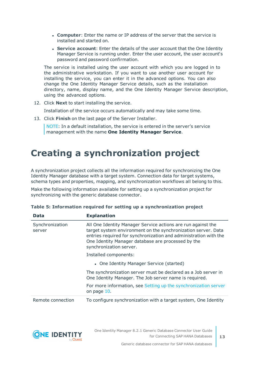- **Computer**: Enter the name or IP address of the server that the service is installed and started on.
- **. Service account:** Enter the details of the user account that the One Identity Manager Service is running under. Enter the user account, the user account's password and password confirmation.

The service is installed using the user account with which you are logged in to the administrative workstation. If you want to use another user account for installing the service, you can enter it in the advanced options. You can also change the One Identity Manager Service details, such as the installation directory, name, display name, and the One Identity Manager Service description, using the advanced options.

12. Click **Next** to start installing the service.

Installation of the service occurs automatically and may take some time.

13. Click **Finish** on the last page of the Server Installer.

NOTE: In a default installation, the service is entered in the server's service management with the name **One Identity Manager Service**.

## <span id="page-12-0"></span>**Creating a synchronization project**

A synchronization project collects all the information required for synchronizing the One Identity Manager database with a target system. Connection data for target systems, schema types and properties, mapping, and synchronization workflows all belong to this.

Make the following information available for setting up a synchronization project for synchronizing with the generic database connector.

| Data                      | <b>Explanation</b>                                                                                                                                                                                                                                                                 |
|---------------------------|------------------------------------------------------------------------------------------------------------------------------------------------------------------------------------------------------------------------------------------------------------------------------------|
| Synchronization<br>server | All One Identity Manager Service actions are run against the<br>target system environment on the synchronization server. Data<br>entries required for synchronization and administration with the<br>One Identity Manager database are processed by the<br>synchronization server. |
|                           | Installed components:                                                                                                                                                                                                                                                              |
|                           | • One Identity Manager Service (started)                                                                                                                                                                                                                                           |
|                           | The synchronization server must be declared as a Job server in<br>One Identity Manager. The Job server name is required.                                                                                                                                                           |
|                           | For more information, see Setting up the synchronization server<br>on page 10.                                                                                                                                                                                                     |
| Remote connection         | To configure synchronization with a target system, One Identity                                                                                                                                                                                                                    |

|  | Table 5: Information required for setting up a synchronization project |  |  |  |  |  |
|--|------------------------------------------------------------------------|--|--|--|--|--|
|  |                                                                        |  |  |  |  |  |

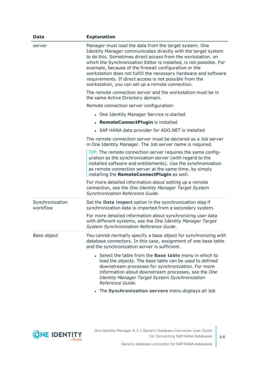| <b>Data</b>                 | <b>Explanation</b>                                                                                                                                                                                                                                                                                                                                                                                                                                                                                         |
|-----------------------------|------------------------------------------------------------------------------------------------------------------------------------------------------------------------------------------------------------------------------------------------------------------------------------------------------------------------------------------------------------------------------------------------------------------------------------------------------------------------------------------------------------|
| server                      | Manager must load the data from the target system. One<br>Identity Manager communicates directly with the target system<br>to do this. Sometimes direct access from the workstation, on<br>which the Synchronization Editor is installed, is not possible. For<br>example, because of the firewall configuration or the<br>workstation does not fulfill the necessary hardware and software<br>requirements. If direct access is not possible from the<br>workstation, you can set up a remote connection. |
|                             | The remote connection server and the workstation must be in<br>the same Active Directory domain.                                                                                                                                                                                                                                                                                                                                                                                                           |
|                             | Remote connection server configuration:                                                                                                                                                                                                                                                                                                                                                                                                                                                                    |
|                             | • One Identity Manager Service is started                                                                                                                                                                                                                                                                                                                                                                                                                                                                  |
|                             | • RemoteConnectPlugin is installed                                                                                                                                                                                                                                                                                                                                                                                                                                                                         |
|                             | • SAP HANA data provider for ADO.NET is installed                                                                                                                                                                                                                                                                                                                                                                                                                                                          |
|                             | The remote connection server must be declared as a Job server<br>in One Identity Manager. The Job server name is required.                                                                                                                                                                                                                                                                                                                                                                                 |
|                             | TIP: The remote connection server requires the same config-<br>uration as the synchronization server (with regard to the<br>installed software and entitlements). Use the synchronization<br>as remote connection server at the same time, by simply<br>installing the RemoteConnectPlugin as well.                                                                                                                                                                                                        |
|                             | For more detailed information about setting up a remote<br>connection, see the One Identity Manager Target System<br>Synchronization Reference Guide.                                                                                                                                                                                                                                                                                                                                                      |
| Synchronization<br>workflow | Set the <b>Data import</b> option in the synchronization step if<br>synchronization data is imported from a secondary system.                                                                                                                                                                                                                                                                                                                                                                              |
|                             | For more detailed information about synchronizing user data<br>with different systems, see the One Identity Manager Target<br>System Synchronization Reference Guide.                                                                                                                                                                                                                                                                                                                                      |
| Base object                 | You cannot normally specify a base object for synchronizing with<br>database connectors. In this case, assignment of one base table<br>and the synchronization server is sufficient.                                                                                                                                                                                                                                                                                                                       |
|                             | • Select the table from the <b>Base table</b> menu in which to<br>load the objects. The base table can be used to defined<br>downstream processes for synchronization. For more<br>information about downstream processes, see the One<br>Identity Manager Target System Synchronization<br>Reference Guide.                                                                                                                                                                                               |
|                             | • The Synchronization servers menu displays all Job                                                                                                                                                                                                                                                                                                                                                                                                                                                        |

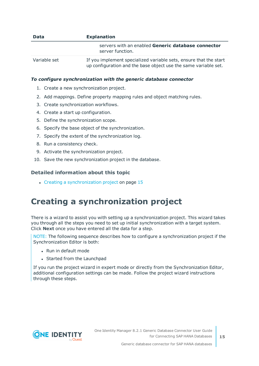| <b>Data</b>  | <b>Explanation</b>                                                                                                                   |  |  |  |
|--------------|--------------------------------------------------------------------------------------------------------------------------------------|--|--|--|
|              | servers with an enabled Generic database connector<br>server function.                                                               |  |  |  |
| Variable set | If you implement specialized variable sets, ensure that the start<br>up configuration and the base object use the same variable set. |  |  |  |

#### *To configure synchronization with the generic database connector*

- 1. Create a new synchronization project.
- 2. Add mappings. Define property mapping rules and object matching rules.
- 3. Create synchronization workflows.
- 4. Create a start up configuration.
- 5. Define the synchronization scope.
- 6. Specify the base object of the synchronization.
- 7. Specify the extent of the synchronization log.
- 8. Run a consistency check.
- 9. Activate the synchronization project.
- 10. Save the new synchronization project in the database.

#### **Detailed information about this topic**

 $\cdot$  Creating a [synchronization](#page-14-0) project on page 15

### <span id="page-14-0"></span>**Creating a synchronization project**

There is a wizard to assist you with setting up a synchronization project. This wizard takes you through all the steps you need to set up initial synchronization with a target system. Click **Next** once you have entered all the data for a step.

NOTE: The following sequence describes how to configure a synchronization project if the Synchronization Editor is both:

- . Run in default mode
- Started from the Launchpad

If you run the project wizard in expert mode or directly from the Synchronization Editor, additional configuration settings can be made. Follow the project wizard instructions through these steps.

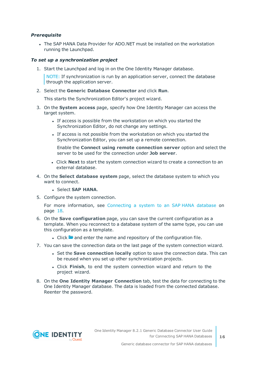#### *Prerequisite*

• The SAP HANA Data Provider for ADO.NET must be installed on the workstation running the Launchpad.

#### *To set up a synchronization project*

1. Start the Launchpad and log in on the One Identity Manager database.

NOTE: If synchronization is run by an application server, connect the database through the application server.

2. Select the **Generic Database Connector** and click **Run**.

This starts the Synchronization Editor's project wizard.

- 3. On the **System access** page, specify how One Identity Manager can access the target system.
	- If access is possible from the workstation on which you started the Synchronization Editor, do not change any settings.
	- If access is not possible from the workstation on which you started the Synchronization Editor, you can set up a remote connection.

Enable the **Connect using remote connection server** option and select the server to be used for the connection under **Job server**.

- <sup>l</sup> Click **Next** to start the system connection wizard to create a connection to an external database.
- 4. On the **Select database system** page, select the database system to which you want to connect.
	- <sup>l</sup> Select **SAP HANA**.
- 5. Configure the system connection.

For more [information,](#page-17-0) see Connecting a system to an SAP HANA database on [page](#page-17-0) 18.

- 6. On the **Save configuration** page, you can save the current configuration as a template. When you reconnect to a database system of the same type, you can use this configuration as a template.
	- $\cdot$  Click **a** and enter the name and repository of the configuration file.
- 7. You can save the connection data on the last page of the system connection wizard.
	- **.** Set the **Save connection locally** option to save the connection data. This can be reused when you set up other synchronization projects.
	- <sup>l</sup> Click **Finish**, to end the system connection wizard and return to the project wizard.
- 8. On the **One Identity Manager Connection** tab, test the data for connecting to the One Identity Manager database. The data is loaded from the connected database. Reenter the password.

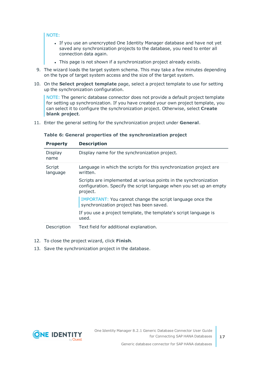#### NOTE:

- If you use an unencrypted One Identity Manager database and have not yet saved any synchronization projects to the database, you need to enter all connection data again.
- . This page is not shown if a synchronization project already exists.
- 9. The wizard loads the target system schema. This may take a few minutes depending on the type of target system access and the size of the target system.
- 10. On the **Select project template** page, select a project template to use for setting up the synchronization configuration.

NOTE: The generic database connector does not provide a default project template for setting up synchronization. If you have created your own project template, you can select it to configure the synchronization project. Otherwise, select **Create blank project**.

11. Enter the general setting for the synchronization project under **General**.

|  |  |  | Table 6: General properties of the synchronization project |  |
|--|--|--|------------------------------------------------------------|--|
|  |  |  |                                                            |  |

| <b>Property</b>    | <b>Description</b>                                                                                                                                  |
|--------------------|-----------------------------------------------------------------------------------------------------------------------------------------------------|
| Display<br>name    | Display name for the synchronization project.                                                                                                       |
| Script<br>language | Language in which the scripts for this synchronization project are<br>written.                                                                      |
|                    | Scripts are implemented at various points in the synchronization<br>configuration. Specify the script language when you set up an empty<br>project. |
|                    | IMPORTANT: You cannot change the script language once the<br>synchronization project has been saved.                                                |
|                    | If you use a project template, the template's script language is<br>used.                                                                           |
| Description        | Text field for additional explanation.                                                                                                              |

- 12. To close the project wizard, click **Finish**.
- 13. Save the synchronization project in the database.

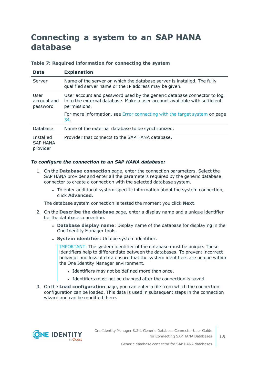### <span id="page-17-0"></span>**Connecting a system to an SAP HANA database**

|  |  |  | Table 7: Required information for connecting the system |  |  |  |  |
|--|--|--|---------------------------------------------------------|--|--|--|--|
|--|--|--|---------------------------------------------------------|--|--|--|--|

| <b>Data</b>                              | <b>Explanation</b>                                                                                                                                                    |
|------------------------------------------|-----------------------------------------------------------------------------------------------------------------------------------------------------------------------|
| Server                                   | Name of the server on which the database server is installed. The fully<br>qualified server name or the IP address may be given.                                      |
| User<br>account and<br>password          | User account and password used by the generic database connector to log<br>in to the external database. Make a user account available with sufficient<br>permissions. |
|                                          | For more information, see Error connecting with the target system on page<br>34.                                                                                      |
| Database                                 | Name of the external database to be synchronized.                                                                                                                     |
| Installed<br><b>SAP HANA</b><br>provider | Provider that connects to the SAP HANA database.                                                                                                                      |

#### *To configure the connection to an SAP HANA database:*

- 1. On the **Database connection** page, enter the connection parameters. Select the SAP HANA provider and enter all the parameters required by the generic database connector to create a connection with the selected database system.
	- To enter additional system-specific information about the system connection, click **Advanced**.

The database system connection is tested the moment you click **Next**.

- 2. On the **Describe the database** page, enter a display name and a unique identifier for the database connection.
	- <sup>l</sup> **Database display name**: Display name of the database for displaying in the One Identity Manager tools.
	- **.** System *identifier*: Unique system identifier.

IMPORTANT: The system identifier of the database must be unique. These identifiers help to differentiate between the databases. To prevent incorrect behavior and loss of data ensure that the system identifiers are unique within the One Identity Manager environment.

- Identifiers may not be defined more than once.
- Identifiers must not be changed after the connection is saved.
- 3. On the **Load configuration** page, you can enter a file from which the connection configuration can be loaded. This data is used in subsequent steps in the connection wizard and can be modified there.

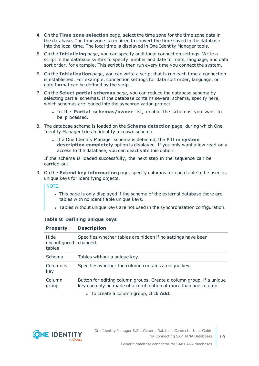- 4. On the **Time zone selection** page, select the time zone for the time zone data in the database. The time zone is required to convert the time saved in the database into the local time. The local time is displayed in One Identity Manager tools.
- 5. On the **Initializing** page, you can specify additional connection settings. Write a script in the database syntax to specify number and date formats, language, and data sort order, for example. This script is then run every time you connect the system.
- 6. On the **Initialization** page, you can write a script that is run each time a connection is established. For example, connection settings for data sort order, language, or date format can be defined by the script.
- 7. On the **Select partial schemas** page, you can reduce the database schema by selecting partial schemas. If the database contains several schema, specify here, which schemas are loaded into the synchronization project.
	- . In the **Partial schemas/owner** list, enable the schemas you want to be processed.
- 8. The database schema is loaded on the **Schema detection** page. during which One Identity Manager tries to identify a known schema.
	- <sup>l</sup> If a One Identity Manager schema is detected, the **Fill in system description completely** option is displayed. If you only want allow read-only access to the database, you can deactivate this option.

If the schema is loaded successfully, the next step in the sequence can be carried out.

9. On the **Extend key information** page, specify columns for each table to be used as unique keys for identifying objects.

NOTE:

- This page is only displayed if the schema of the external database there are tables with no identifiable unique keys.
- Tables without unique keys are not used in the synchronization configuration.

| <b>Property</b>                | <b>Description</b>                                                                                                                                                               |
|--------------------------------|----------------------------------------------------------------------------------------------------------------------------------------------------------------------------------|
| Hide<br>unconfigured<br>tables | Specifies whether tables are hidden if no settings have been<br>changed.                                                                                                         |
| Schema                         | Tables without a unique key.                                                                                                                                                     |
| Column is<br>key               | Specifies whether the column contains a unique key.                                                                                                                              |
| Column<br>group                | Button for editing column groups. Create a column group, if a unique<br>key can only be made of a combination of more than one column.<br>• To create a column group, click Add. |

#### **Table 8: Defining unique keys**

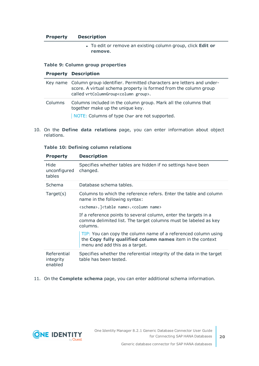#### **Property Description**

<sup>l</sup> To edit or remove an existing column group, click **Edit or remove**.

#### **Table 9: Column group properties**

#### **Property Description**

|         | Key name Column group identifier. Permitted characters are letters and under-<br>score. A virtual schema property is formed from the column group<br>called vrtColumnGroup <column group="">.</column> |
|---------|--------------------------------------------------------------------------------------------------------------------------------------------------------------------------------------------------------|
| Columns | Columns included in the column group. Mark all the columns that<br>together make up the unique key.<br>NOTE: Columns of type Char are not supported.                                                   |

10. On the **Define data relations** page, you can enter information about object relations.

#### **Table 10: Defining column relations**

| <b>Property</b>                     | <b>Description</b>                                                                                                                                            |
|-------------------------------------|---------------------------------------------------------------------------------------------------------------------------------------------------------------|
| Hide<br>unconfigured<br>tables      | Specifies whether tables are hidden if no settings have been<br>changed.                                                                                      |
| Schema                              | Database schema tables.                                                                                                                                       |
| Target(s)                           | Columns to which the reference refers. Enter the table and column<br>name in the following syntax:                                                            |
|                                     | <schema>.]<table name="">.<column name=""></column></table></schema>                                                                                          |
|                                     | If a reference points to several column, enter the targets in a<br>comma delimited list. The target columns must be labeled as key<br>columns.                |
|                                     | TIP: You can copy the column name of a referenced column using<br>the Copy fully qualified column names item in the context<br>menu and add this as a target. |
| Referential<br>integrity<br>enabled | Specifies whether the referential integrity of the data in the target<br>table has been tested.                                                               |

#### 11. On the **Complete schema** page, you can enter additional schema information.



**20**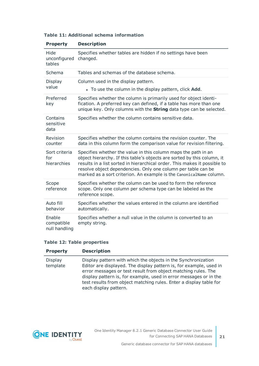| <b>Property</b>                       | <b>Description</b>                                                                                                                                                                                                                                                                                                                                             |
|---------------------------------------|----------------------------------------------------------------------------------------------------------------------------------------------------------------------------------------------------------------------------------------------------------------------------------------------------------------------------------------------------------------|
| Hide<br>unconfigured<br>tables        | Specifies whether tables are hidden if no settings have been<br>changed.                                                                                                                                                                                                                                                                                       |
| Schema                                | Tables and schemas of the database schema.                                                                                                                                                                                                                                                                                                                     |
| Display<br>value                      | Column used in the display pattern.<br>• To use the column in the display pattern, click Add.                                                                                                                                                                                                                                                                  |
| Preferred<br>key                      | Specifies whether the column is primarily used for object identi-<br>fication. A preferred key can defined, if a table has more than one<br>unique key. Only columns with the <b>String</b> data type can be selected.                                                                                                                                         |
| Contains<br>sensitive<br>data         | Specifies whether the column contains sensitive data.                                                                                                                                                                                                                                                                                                          |
| Revision<br>counter                   | Specifies whether the column contains the revision counter. The<br>data in this column form the comparison value for revision filtering.                                                                                                                                                                                                                       |
| Sort criteria<br>for<br>hierarchies   | Specifies whether the value in this column maps the path in an<br>object hierarchy. If this table's objects are sorted by this column, it<br>results in a list sorted in hierarchical order. This makes it possible to<br>resolve object dependencies. Only one column per table can be<br>marked as a sort criterion. An example is the CanonicalName column. |
| Scope<br>reference                    | Specifies whether the column can be used to form the reference<br>scope. Only one column per schema type can be labeled as the<br>reference scope.                                                                                                                                                                                                             |
| Auto fill<br>behavior                 | Specifies whether the values entered in the column are identified<br>automatically.                                                                                                                                                                                                                                                                            |
| Enable<br>compatible<br>null handling | Specifies whether a null value in the column is converted to an<br>empty string.                                                                                                                                                                                                                                                                               |

#### **Table 11: Additional schema information**

#### **Table 12: Table properties**

| <b>Property</b>            | <b>Description</b>                                                                                                                                                                                                                                                                                                                                                       |
|----------------------------|--------------------------------------------------------------------------------------------------------------------------------------------------------------------------------------------------------------------------------------------------------------------------------------------------------------------------------------------------------------------------|
| <b>Display</b><br>template | Display pattern with which the objects in the Synchronization<br>Editor are displayed. The display pattern is, for example, used in<br>error messages or test result from object matching rules. The<br>display pattern is, for example, used in error messages or in the<br>test results from object matching rules. Enter a display table for<br>each display pattern. |

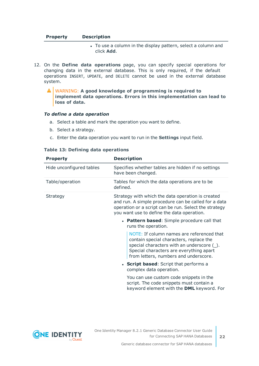| <b>Property</b> | <b>Description</b> |  |
|-----------------|--------------------|--|
|                 |                    |  |

- To use a column in the display pattern, select a column and click **Add**.
- 12. On the **Define data operations** page, you can specify special operations for changing data in the external database. This is only required, if the default operations INSERT, UPDATE, and DELETE cannot be used in the external database system.
	- WARNING: **A good knowledge of programming is required to**  $\blacktriangle$ **implement data operations. Errors in this implementation can lead to loss of data.**

#### *To define a data operation*

- a. Select a table and mark the operation you want to define.
- b. Select a strategy.
- c. Enter the data operation you want to run in the **Settings** input field.

| <b>Property</b>          | <b>Description</b>                                                                                                                                                                                                         |
|--------------------------|----------------------------------------------------------------------------------------------------------------------------------------------------------------------------------------------------------------------------|
| Hide unconfigured tables | Specifies whether tables are hidden if no settings<br>have been changed.                                                                                                                                                   |
| Table/operation          | Tables for which the data operations are to be<br>defined.                                                                                                                                                                 |
| Strategy                 | Strategy with which the data operation is created<br>and run. A simple procedure can be called for a data<br>operation or a script can be run. Select the strategy<br>you want use to define the data operation.           |
|                          | • Pattern based: Simple procedure call that<br>runs the operation.                                                                                                                                                         |
|                          | NOTE: If column names are referenced that<br>contain special characters, replace the<br>special characters with an underscore $(\_)$ .<br>Special characters are everything apart<br>from letters, numbers and underscore. |
|                          | • Script based: Script that performs a<br>complex data operation.                                                                                                                                                          |
|                          | You can use custom code snippets in the<br>script. The code snippets must contain a<br>keyword element with the DML keyword. For                                                                                           |
|                          |                                                                                                                                                                                                                            |

#### **Table 13: Defining data operations**

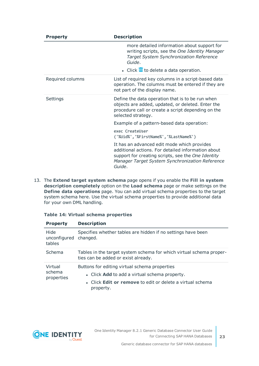| <b>Property</b>  | <b>Description</b>                                                                                                                                                                                                   |  |  |
|------------------|----------------------------------------------------------------------------------------------------------------------------------------------------------------------------------------------------------------------|--|--|
|                  | more detailed information about support for<br>writing scripts, see the One Identity Manager<br>Target System Synchronization Reference<br>Guide.                                                                    |  |  |
|                  | • Click <b>III</b> to delete a data operation.                                                                                                                                                                       |  |  |
| Required columns | List of required key columns in a script-based data<br>operation. The columns must be entered if they are<br>not part of the display name.                                                                           |  |  |
| Settings         | Define the data operation that is to be run when<br>objects are added, updated, or deleted. Enter the<br>procedure call or create a script depending on the<br>selected strategy.                                    |  |  |
|                  | Example of a pattern-based data operation:                                                                                                                                                                           |  |  |
|                  | exec CreateUser<br>('%Uid%','%FirstName%','%LastName%')                                                                                                                                                              |  |  |
|                  | It has an advanced edit mode which provides<br>additional actions. For detailed information about<br>support for creating scripts, see the One Identity<br>Manager Target System Synchronization Reference<br>Guide. |  |  |

13. The **Extend target system schema** page opens if you enable the **Fill in system description completely** option on the **Load schema** page or make settings on the **Define data operations** page. You can add virtual schema properties to the target system schema here. Use the virtual schema properties to provide additional data for your own DML handling.

|  |  |  |  | Table 14: Virtual schema properties |
|--|--|--|--|-------------------------------------|
|--|--|--|--|-------------------------------------|

| <b>Property</b>                         | <b>Description</b>                                                                                                                                                              |  |
|-----------------------------------------|---------------------------------------------------------------------------------------------------------------------------------------------------------------------------------|--|
| Hide<br>unconfigured changed.<br>tables | Specifies whether tables are hidden if no settings have been                                                                                                                    |  |
| Schema                                  | Tables in the target system schema for which virtual schema proper-<br>ties can be added or exist already.                                                                      |  |
| Virtual<br>schema<br>properties         | Buttons for editing virtual schema properties<br>• Click Add to add a virtual schema property.<br>• Click <b>Edit or remove</b> to edit or delete a virtual schema<br>property. |  |



**23**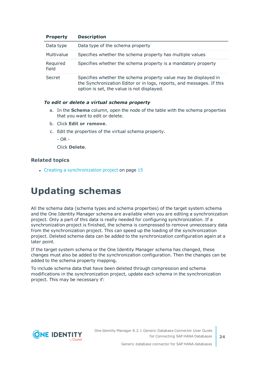| <b>Property</b>   | <b>Description</b>                                                                                                                                                                     |
|-------------------|----------------------------------------------------------------------------------------------------------------------------------------------------------------------------------------|
| Data type         | Data type of the schema property                                                                                                                                                       |
| Multivalue        | Specifies whether the schema property has multiple values                                                                                                                              |
| Required<br>field | Specifies whether the schema property is a mandatory property                                                                                                                          |
| Secret            | Specifies whether the schema property value may be displayed in<br>the Synchronization Editor or in logs, reports, and messages. If this<br>option is set, the value is not displayed. |

#### *To edit or delete a virtual schema property*

- a. In the **Schema** column, open the node of the table with the schema properties that you want to edit or delete.
- b. Click **Edit or remove**.
- c. Edit the properties of the virtual schema property.
	- $-$  OR  $-$

Click **Delete**.

#### **Related topics**

<span id="page-23-0"></span> $\cdot$  Creating a [synchronization](#page-14-0) project on page 15

## **Updating schemas**

All the schema data (schema types and schema properties) of the target system schema and the One Identity Manager schema are available when you are editing a synchronization project. Only a part of this data is really needed for configuring synchronization. If a synchronization project is finished, the schema is compressed to remove unnecessary data from the synchronization project. This can speed up the loading of the synchronization project. Deleted schema data can be added to the synchronization configuration again at a later point.

If the target system schema or the One Identity Manager schema has changed, these changes must also be added to the synchronization configuration. Then the changes can be added to the schema property mapping.

To include schema data that have been deleted through compression and schema modifications in the synchronization project, update each schema in the synchronization project. This may be necessary if:

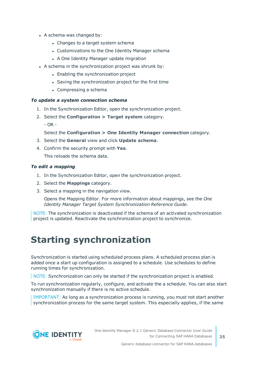- A schema was changed by:
	- Changes to a target system schema
	- Customizations to the One Identity Manager schema
	- A One Identity Manager update migration
- A schema in the synchronization project was shrunk by:
	- Enabling the synchronization project
	- Saving the synchronization project for the first time
	- $\bullet$  Compressing a schema

#### *To update a system connection schema*

- 1. In the Synchronization Editor, open the synchronization project.
- 2. Select the **Configuration > Target system** category.
	- $OR -$

#### Select the **Configuration > One Identity Manager connection** category.

- 3. Select the **General** view and click **Update schema**.
- 4. Confirm the security prompt with **Yes**.

This reloads the schema data.

#### *To edit a mapping*

- 1. In the Synchronization Editor, open the synchronization project.
- 2. Select the **Mappings** category.
- 3. Select a mapping in the navigation view.

Opens the Mapping Editor. For more information about mappings, see the *One Identity Manager Target System Synchronization Reference Guide*.

NOTE: The synchronization is deactivated if the schema of an activated synchronization project is updated. Reactivate the synchronization project to synchronize.

### <span id="page-24-0"></span>**Starting synchronization**

Synchronization is started using scheduled process plans. A scheduled process plan is added once a start up configuration is assigned to a schedule. Use schedules to define running times for synchronization.

NOTE: Synchronization can only be started if the synchronization project is enabled.

To run synchronization regularly, configure, and activate the a schedule. You can also start synchronization manually if there is no active schedule.

IMPORTANT: As long as a synchronization process is running, you must not start another synchronization process for the same target system. This especially applies, if the same

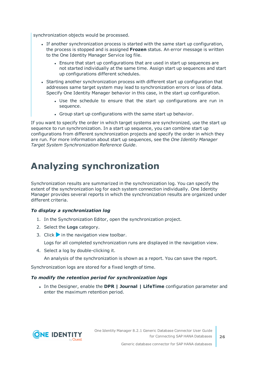synchronization objects would be processed.

- If another synchronization process is started with the same start up configuration, the process is stopped and is assigned **Frozen** status. An error message is written to the One Identity Manager Service log file.
	- Ensure that start up configurations that are used in start up sequences are not started individually at the same time. Assign start up sequences and start up configurations different schedules.
- Starting another synchronization process with different start up configuration that addresses same target system may lead to synchronization errors or loss of data. Specify One Identity Manager behavior in this case, in the start up configuration.
	- Use the schedule to ensure that the start up configurations are run in sequence.
	- Group start up configurations with the same start up behavior.

If you want to specify the order in which target systems are synchronized, use the start up sequence to run synchronization. In a start up sequence, you can combine start up configurations from different synchronization projects and specify the order in which they are run. For more information about start up sequences, see the *One Identity Manager Target System Synchronization Reference Guide*.

### <span id="page-25-0"></span>**Analyzing synchronization**

Synchronization results are summarized in the synchronization log. You can specify the extent of the synchronization log for each system connection individually. One Identity Manager provides several reports in which the synchronization results are organized under different criteria.

#### *To display a synchronization log*

- 1. In the Synchronization Editor, open the synchronization project.
- 2. Select the **Logs** category.
- 3. Click in the navigation view toolbar.

Logs for all completed synchronization runs are displayed in the navigation view.

4. Select a log by double-clicking it.

An analysis of the synchronization is shown as a report. You can save the report.

Synchronization logs are stored for a fixed length of time.

#### *To modify the retention period for synchronization logs*

<sup>l</sup> In the Designer, enable the **DPR | Journal | LifeTime** configuration parameter and enter the maximum retention period.

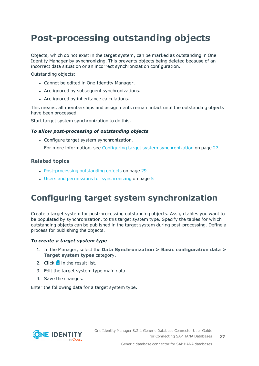## <span id="page-26-0"></span>**Post-processing outstanding objects**

Objects, which do not exist in the target system, can be marked as outstanding in One Identity Manager by synchronizing. This prevents objects being deleted because of an incorrect data situation or an incorrect synchronization configuration.

Outstanding objects:

- Cannot be edited in One Identity Manager.
- Are ignored by subsequent synchronizations.
- Are ignored by inheritance calculations.

This means, all memberships and assignments remain intact until the outstanding objects have been processed.

Start target system synchronization to do this.

#### *To allow post-processing of outstanding objects*

• Configure target system synchronization.

For more information, see Configuring target system [synchronization](#page-26-1) on page 27.

#### **Related topics**

- [Post-processing](#page-28-0) outstanding objects on page 29
- $\cdot$  Users and permissions for [synchronizing](#page-4-0) on page 5

### <span id="page-26-1"></span>**Configuring target system synchronization**

Create a target system for post-processing outstanding objects. Assign tables you want to be populated by synchronization, to this target system type. Specify the tables for which outstanding objects can be published in the target system during post-processing. Define a process for publishing the objects.

#### *To create a target system type*

- 1. In the Manager, select the **Data Synchronization > Basic configuration data > Target system types** category.
- 2. Click  $\mathbf{r}$  in the result list.
- 3. Edit the target system type main data.
- 4. Save the changes.

Enter the following data for a target system type.

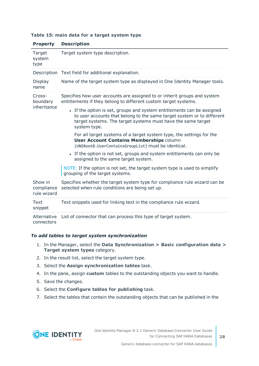| <b>Property</b>                      | <b>Description</b>                                                                                                                                                                                                               |  |  |  |  |
|--------------------------------------|----------------------------------------------------------------------------------------------------------------------------------------------------------------------------------------------------------------------------------|--|--|--|--|
| Target<br>system<br>type             | Target system type description.                                                                                                                                                                                                  |  |  |  |  |
|                                      | Description Text field for additional explanation.                                                                                                                                                                               |  |  |  |  |
| Display<br>name                      | Name of the target system type as displayed in One Identity Manager tools.                                                                                                                                                       |  |  |  |  |
| Cross-<br>boundary                   | Specifies how user accounts are assigned to or inherit groups and system<br>entitlements if they belong to different custom target systems.                                                                                      |  |  |  |  |
| inheritance                          | • If the option is set, groups and system entitlements can be assigned<br>to user accounts that belong to the same target system or to different<br>target systems. The target systems must have the same target<br>system type. |  |  |  |  |
|                                      | For all target systems of a target system type, the settings for the<br><b>User Account Contains Memberships column</b><br>(UNSRootB.UserContainsGroupList) must be identical.                                                   |  |  |  |  |
|                                      | • If the option is not set, groups and system entitlements can only be<br>assigned to the same target system.                                                                                                                    |  |  |  |  |
|                                      | NOTE: If the option is not set, the target system type is used to simplify<br>grouping of the target systems.                                                                                                                    |  |  |  |  |
| Show in<br>compliance<br>rule wizard | Specifies whether the target system type for compliance rule wizard can be<br>selected when rule conditions are being set up.                                                                                                    |  |  |  |  |
| Text<br>snippet                      | Text snippets used for linking text in the compliance rule wizard.                                                                                                                                                               |  |  |  |  |
| Alternative<br>connectors            | List of connector that can process this type of target system.                                                                                                                                                                   |  |  |  |  |

#### **Table 15: main data for a target system type**

#### *To add tables to target system synchronization*

- 1. In the Manager, select the **Data Synchronization > Basic configuration data > Target system types** category.
- 2. In the result list, select the target system type.
- 3. Select the **Assign synchronization tables** task.
- 4. In the pane, assign **custom** tables to the outstanding objects you want to handle.
- 5. Save the changes.
- 6. Select the **Configure tables for publishing** task.
- 7. Select the tables that contain the outstanding objects that can be published in the

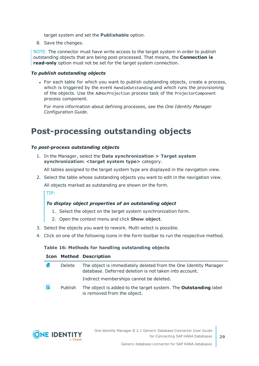target system and set the **Publishable** option.

8. Save the changes.

NOTE: The connector must have write access to the target system in order to publish outstanding objects that are being post-processed. That means, the **Connection is read-only** option must not be set for the target system connection.

#### *To publish outstanding objects*

• For each table for which you want to publish outstanding objects, create a process, which is triggered by the event HandleOutstanding and which runs the provisioning of the objects. Use the AdHocProjection process task of the ProjectorComponent process component.

For more information about defining processes, see the *One Identity Manager Configuration Guide*.

### <span id="page-28-0"></span>**Post-processing outstanding objects**

#### *To post-process outstanding objects*

1. In the Manager, select the **Data synchronization > Target system synchronization: <target system type>** category.

All tables assigned to the target system type are displayed in the navigation view.

2. Select the table whose outstanding objects you want to edit in the navigation view.

All objects marked as outstanding are shown on the form.

TIP:

#### *To display object properties of an outstanding object*

- 1. Select the object on the target system synchronization form.
- 2. Open the context menu and click **Show object**.
- 3. Select the objects you want to rework. Multi-select is possible.
- 4. Click on one of the following icons in the form toolbar to run the respective method.

#### **Table 16: Methods for handling outstanding objects**

|  |    |               | <b>Icon Method Description</b>                                                                                            |
|--|----|---------------|---------------------------------------------------------------------------------------------------------------------------|
|  | ۴× | <b>Delete</b> | The object is immediately deleted from the One Identity Manager<br>database. Deferred deletion is not taken into account. |
|  |    |               | Indirect memberships cannot be deleted.                                                                                   |
|  | F  | Publish       | The object is added to the target system. The <b>Outstanding</b> label                                                    |

is removed from the object.

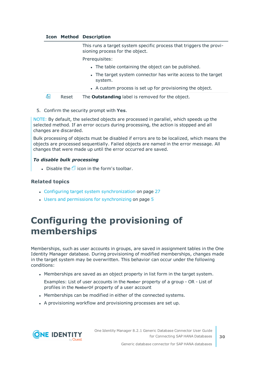#### **Icon Method Description**

This runs a target system specific process that triggers the provisioning process for the object.

Prerequisites:

- The table containing the object can be published.
- The target system connector has write access to the target system.
- A custom process is set up for provisioning the object.

a. Reset The **Outstanding** label is removed for the object.

5. Confirm the security prompt with **Yes**.

NOTE: By default, the selected objects are processed in parallel, which speeds up the selected method. If an error occurs during processing, the action is stopped and all changes are discarded.

Bulk processing of objects must be disabled if errors are to be localized, which means the objects are processed sequentially. Failed objects are named in the error message. All changes that were made up until the error occurred are saved.

#### *To disable bulk processing*

• Disable the  $\overline{1}$  icon in the form's toolbar.

#### **Related topics**

- Configuring target system [synchronization](#page-26-1) on page 27
- Users and permissions for [synchronizing](#page-4-0) on page 5

## <span id="page-29-0"></span>**Configuring the provisioning of memberships**

Memberships, such as user accounts in groups, are saved in assignment tables in the One Identity Manager database. During provisioning of modified memberships, changes made in the target system may be overwritten. This behavior can occur under the following conditions:

- Memberships are saved as an object property in list form in the target system.
- Examples: List of user accounts in the Member property of a group OR List of profiles in the MemberOf property of a user account
- Memberships can be modified in either of the connected systems.
- A provisioning workflow and provisioning processes are set up.

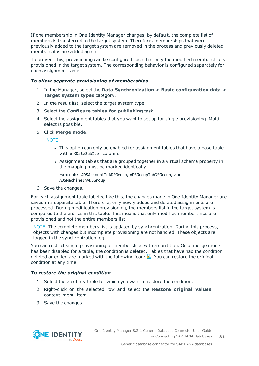If one membership in One Identity Manager changes, by default, the complete list of members is transferred to the target system. Therefore, memberships that were previously added to the target system are removed in the process and previously deleted memberships are added again.

To prevent this, provisioning can be configured such that only the modified membership is provisioned in the target system. The corresponding behavior is configured separately for each assignment table.

#### *To allow separate provisioning of memberships*

- 1. In the Manager, select the **Data Synchronization > Basic configuration data > Target system types** category.
- 2. In the result list, select the target system type.
- 3. Select the **Configure tables for publishing** task.
- 4. Select the assignment tables that you want to set up for single provisioning. Multiselect is possible.
- 5. Click **Merge mode**.

NOTE:

- This option can only be enabled for assignment tables that have a base table with a XDateSubItem column.
- Assignment tables that are grouped together in a virtual schema property in the mapping must be marked identically.

Example: ADSAccountInADSGroup, ADSGroupInADSGroup, and ADSMachineInADSGroup

6. Save the changes.

For each assignment table labeled like this, the changes made in One Identity Manager are saved in a separate table. Therefore, only newly added and deleted assignments are processed. During modification provisioning, the members list in the target system is compared to the entries in this table. This means that only modified memberships are provisioned and not the entire members list.

NOTE: The complete members list is updated by synchronization. During this process, objects with changes but incomplete provisioning are not handled. These objects are logged in the synchronization log.

You can restrict single provisioning of memberships with a condition. Once merge mode has been disabled for a table, the condition is deleted. Tables that have had the condition deleted or edited are marked with the following icon:  $\frac{1}{2}$ . You can restore the original condition at any time.

#### *To restore the original condition*

- 1. Select the auxiliary table for which you want to restore the condition.
- 2. Right-click on the selected row and select the **Restore original values** context menu item.
- 3. Save the changes.

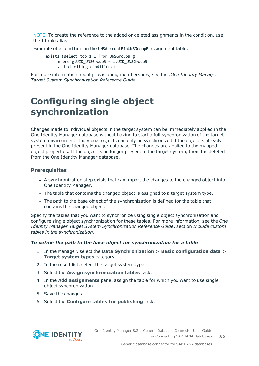NOTE: To create the reference to the added or deleted assignments in the condition, use the i table alias.

Example of a condition on the UNSAccountBInUNSGroupB assignment table:

exists (select top 1 1 from UNSGroupB g where  $g.UID$  UNSGroupB = i.UID UNSGroupB and <limiting condition>)

For more information about provisioning memberships, see the .*One Identity Manager Target System Synchronization Reference Guide*

## <span id="page-31-0"></span>**Configuring single object synchronization**

Changes made to individual objects in the target system can be immediately applied in the One Identity Manager database without having to start a full synchronization of the target system environment. Individual objects can only be synchronized if the object is already present in the One Identity Manager database. The changes are applied to the mapped object properties. If the object is no longer present in the target system, then it is deleted from the One Identity Manager database.

#### **Prerequisites**

- A synchronization step exists that can import the changes to the changed object into One Identity Manager.
- The table that contains the changed object is assigned to a target system type.
- The path to the base object of the synchronization is defined for the table that contains the changed object.

Specify the tables that you want to synchronize using single object synchronization and configure single object synchronization for these tables. For more information, see the *One Identity Manager Target System Synchronization Reference Guide*, section *Include custom tables in the synchronization*.

#### *To define the path to the base object for synchronization for a table*

- 1. In the Manager, select the **Data Synchronization > Basic configuration data > Target system types** category.
- 2. In the result list, select the target system type.
- 3. Select the **Assign synchronization tables** task.
- 4. In the **Add assignments** pane, assign the table for which you want to use single object synchronization.
- 5. Save the changes.
- 6. Select the **Configure tables for publishing** task.

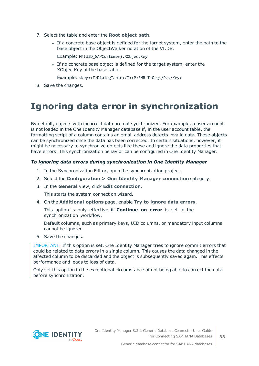- 7. Select the table and enter the **Root object path**.
	- If a concrete base object is defined for the target system, enter the path to the base object in the ObjectWalker notation of the VI.DB.

Example: FK(UID\_GAPCustomer).XObjectKey

• If no concrete base object is defined for the target system, enter the XObjectKey of the base table.

Example: <Key><T>DialogTable</T><P>RMB-T-Org</P></Key>

<span id="page-32-0"></span>8. Save the changes.

## **Ignoring data error in synchronization**

By default, objects with incorrect data are not synchronized. For example, a user account is not loaded in the One Identity Manager database if, in the user account table, the formatting script of a column contains an email address detects invalid data. These objects can be synchronized once the data has been corrected. In certain situations, however, it might be necessary to synchronize objects like these and ignore the data properties that have errors. This synchronization behavior can be configured in One Identity Manager.

#### *To ignoring data errors during synchronization in One Identity Manager*

- 1. In the Synchronization Editor, open the synchronization project.
- 2. Select the **Configuration > One Identity Manager connection** category.
- 3. In the **General** view, click **Edit connection**.

This starts the system connection wizard.

4. On the **Additional options** page, enable **Try to ignore data errors**.

This option is only effective if **Continue on error** is set in the synchronization workflow.

Default columns, such as primary keys, UID columns, or mandatory input columns cannot be ignored.

5. Save the changes.

IMPORTANT: If this option is set, One Identity Manager tries to ignore commit errors that could be related to data errors in a single column. This causes the data changed in the affected column to be discarded and the object is subsequently saved again. This effects performance and leads to loss of data.

Only set this option in the exceptional circumstance of not being able to correct the data before synchronization.

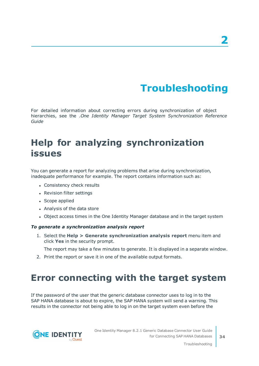# **Troubleshooting**

<span id="page-33-0"></span>For detailed information about correcting errors during synchronization of object hierarchies, see the .*One Identity Manager Target System Synchronization Reference Guide*

## <span id="page-33-1"></span>**Help for analyzing synchronization issues**

You can generate a report for analyzing problems that arise during synchronization, inadequate performance for example. The report contains information such as:

- Consistency check results
- Revision filter settings
- Scope applied
- Analysis of the data store
- Object access times in the One Identity Manager database and in the target system

#### *To generate a synchronization analysis report*

1. Select the **Help > Generate synchronization analysis report** menu item and click **Yes** in the security prompt.

The report may take a few minutes to generate. It is displayed in a separate window.

<span id="page-33-2"></span>2. Print the report or save it in one of the available output formats.

### **Error connecting with the target system**

If the password of the user that the generic database connector uses to log in to the SAP HANA database is about to expire, the SAP HANA system will send a warning. This results in the connector not being able to log in on the target system even before the

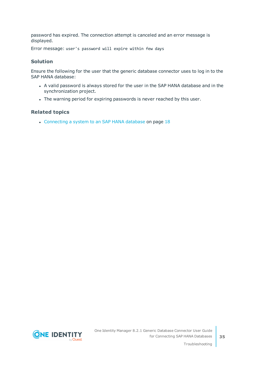password has expired. The connection attempt is canceled and an error message is displayed.

Error message: user's password will expire within few days

#### **Solution**

Ensure the following for the user that the generic database connector uses to log in to the SAP HANA database:

- A valid password is always stored for the user in the SAP HANA database and in the synchronization project.
- The warning period for expiring passwords is never reached by this user.

#### **Related topics**

• [Connecting](#page-17-0) a system to an SAP HANA database on page 18

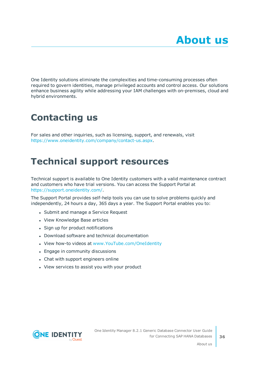<span id="page-35-0"></span>One Identity solutions eliminate the complexities and time-consuming processes often required to govern identities, manage privileged accounts and control access. Our solutions enhance business agility while addressing your IAM challenges with on-premises, cloud and hybrid environments.

## <span id="page-35-1"></span>**Contacting us**

For sales and other inquiries, such as licensing, support, and renewals, visit <https://www.oneidentity.com/company/contact-us.aspx>.

## <span id="page-35-2"></span>**Technical support resources**

Technical support is available to One Identity customers with a valid maintenance contract and customers who have trial versions. You can access the Support Portal at [https://support.oneidentity.com/.](https://support.oneidentity.com/)

The Support Portal provides self-help tools you can use to solve problems quickly and independently, 24 hours a day, 365 days a year. The Support Portal enables you to:

- Submit and manage a Service Request
- View Knowledge Base articles
- Sign up for product notifications
- Download software and technical documentation
- View how-to videos at [www.YouTube.com/OneIdentity](http://www.youtube.com/OneIdentity)
- Engage in community discussions
- Chat with support engineers online
- View services to assist you with your product



About us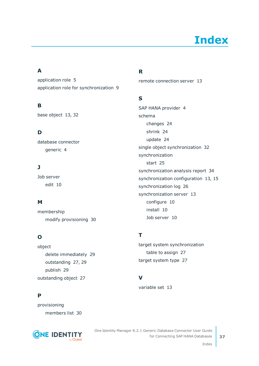# **Index**

### <span id="page-36-0"></span>**A**

application role [5](#page-4-0) application role for synchronization [9](#page-8-0)

### **B**

base object [13](#page-12-0), [32](#page-31-0)

### **D**

database connector generic [4](#page-3-0)

### **J**

Job server edit [10](#page-9-0)

### **M**

membership modify provisioning [30](#page-29-0)

### **O**

object delete immediately [29](#page-28-0) outstanding [27](#page-26-0), [29](#page-28-0) publish [29](#page-28-0) outstanding object [27](#page-26-0)

### **P**

provisioning members list [30](#page-29-0)



### **R**

remote connection server [13](#page-12-0)

### **S**

SAP HANA provider [4](#page-3-0) schema changes [24](#page-23-0) shrink [24](#page-23-0) update [24](#page-23-0) single object synchronization [32](#page-31-0) synchronization start [25](#page-24-0) synchronization analysis report [34](#page-33-1) synchronization configuration [13](#page-12-0), [15](#page-14-0) synchronization log [26](#page-25-0) synchronization server [13](#page-12-0) configure [10](#page-9-0) install [10](#page-9-0) Job server [10](#page-9-0)

### **T**

target system synchronization table to assign [27](#page-26-1) target system type [27](#page-26-1)

### **V**

variable set [13](#page-12-0)

One Identity Manager 8.2.1 Generic Database Connector User Guide for Connecting SAP HANA Databases

Index